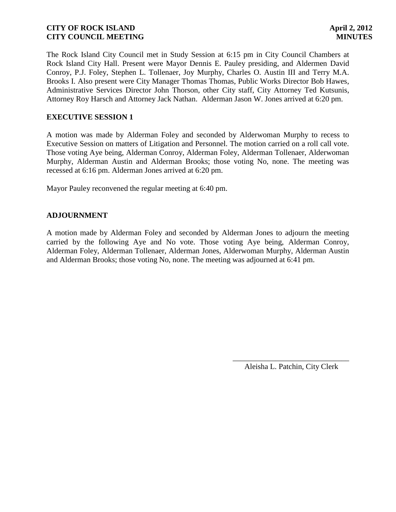The Rock Island City Council met in Study Session at 6:15 pm in City Council Chambers at Rock Island City Hall. Present were Mayor Dennis E. Pauley presiding, and Aldermen David Conroy, P.J. Foley, Stephen L. Tollenaer, Joy Murphy, Charles O. Austin III and Terry M.A. Brooks I. Also present were City Manager Thomas Thomas, Public Works Director Bob Hawes, Administrative Services Director John Thorson, other City staff, City Attorney Ted Kutsunis, Attorney Roy Harsch and Attorney Jack Nathan. Alderman Jason W. Jones arrived at 6:20 pm.

## **EXECUTIVE SESSION 1**

A motion was made by Alderman Foley and seconded by Alderwoman Murphy to recess to Executive Session on matters of Litigation and Personnel. The motion carried on a roll call vote. Those voting Aye being, Alderman Conroy, Alderman Foley, Alderman Tollenaer, Alderwoman Murphy, Alderman Austin and Alderman Brooks; those voting No, none. The meeting was recessed at 6:16 pm. Alderman Jones arrived at 6:20 pm.

Mayor Pauley reconvened the regular meeting at 6:40 pm.

## **ADJOURNMENT**

A motion made by Alderman Foley and seconded by Alderman Jones to adjourn the meeting carried by the following Aye and No vote. Those voting Aye being, Alderman Conroy, Alderman Foley, Alderman Tollenaer, Alderman Jones, Alderwoman Murphy, Alderman Austin and Alderman Brooks; those voting No, none. The meeting was adjourned at 6:41 pm.

> \_\_\_\_\_\_\_\_\_\_\_\_\_\_\_\_\_\_\_\_\_\_\_\_\_\_\_\_\_\_ Aleisha L. Patchin, City Clerk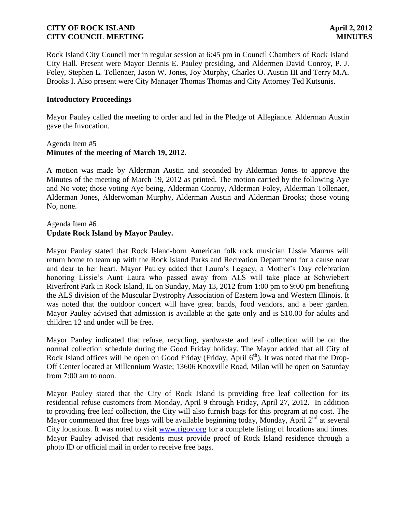Rock Island City Council met in regular session at 6:45 pm in Council Chambers of Rock Island City Hall. Present were Mayor Dennis E. Pauley presiding, and Aldermen David Conroy, P. J. Foley, Stephen L. Tollenaer, Jason W. Jones, Joy Murphy, Charles O. Austin III and Terry M.A. Brooks I. Also present were City Manager Thomas Thomas and City Attorney Ted Kutsunis.

### **Introductory Proceedings**

Mayor Pauley called the meeting to order and led in the Pledge of Allegiance. Alderman Austin gave the Invocation.

### Agenda Item #5 **Minutes of the meeting of March 19, 2012.**

A motion was made by Alderman Austin and seconded by Alderman Jones to approve the Minutes of the meeting of March 19, 2012 as printed. The motion carried by the following Aye and No vote; those voting Aye being, Alderman Conroy, Alderman Foley, Alderman Tollenaer, Alderman Jones, Alderwoman Murphy, Alderman Austin and Alderman Brooks; those voting No, none.

## Agenda Item #6 **Update Rock Island by Mayor Pauley.**

Mayor Pauley stated that Rock Island-born American folk rock musician Lissie Maurus will return home to team up with the Rock Island Parks and Recreation Department for a cause near and dear to her heart. Mayor Pauley added that Laura's Legacy, a Mother's Day celebration honoring Lissie's Aunt Laura who passed away from ALS will take place at Schwiebert Riverfront Park in Rock Island, IL on Sunday, May 13, 2012 from 1:00 pm to 9:00 pm benefiting the ALS division of the Muscular Dystrophy Association of Eastern Iowa and Western Illinois. It was noted that the outdoor concert will have great bands, food vendors, and a beer garden. Mayor Pauley advised that admission is available at the gate only and is \$10.00 for adults and children 12 and under will be free.

Mayor Pauley indicated that refuse, recycling, yardwaste and leaf collection will be on the normal collection schedule during the Good Friday holiday. The Mayor added that all City of Rock Island offices will be open on Good Friday (Friday, April  $6<sup>th</sup>$ ). It was noted that the Drop-Off Center located at Millennium Waste; 13606 Knoxville Road, Milan will be open on Saturday from 7:00 am to noon.

Mayor Pauley stated that the City of Rock Island is providing free leaf collection for its residential refuse customers from Monday, April 9 through Friday, April 27, 2012. In addition to providing free leaf collection, the City will also furnish bags for this program at no cost. The Mayor commented that free bags will be available beginning today, Monday, April 2<sup>nd</sup> at several City locations. It was noted to visit [www.rigov.org](http://www.rigov.org/) for a complete listing of locations and times. Mayor Pauley advised that residents must provide proof of Rock Island residence through a photo ID or official mail in order to receive free bags.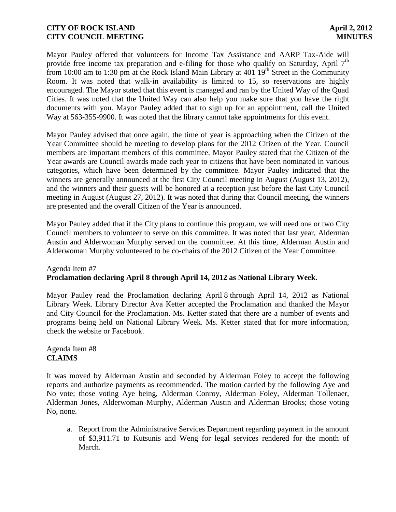Mayor Pauley offered that volunteers for Income Tax Assistance and AARP Tax-Aide will provide free income tax preparation and e-filing for those who qualify on Saturday, April 7<sup>th</sup> from 10:00 am to 1:30 pm at the Rock Island Main Library at  $401 \overline{19}$ <sup>th</sup> Street in the Community Room. It was noted that walk-in availability is limited to 15, so reservations are highly encouraged. The Mayor stated that this event is managed and ran by the United Way of the Quad Cities. It was noted that the United Way can also help you make sure that you have the right documents with you. Mayor Pauley added that to sign up for an appointment, call the United Way at 563-355-9900. It was noted that the library cannot take appointments for this event.

Mayor Pauley advised that once again, the time of year is approaching when the Citizen of the Year Committee should be meeting to develop plans for the 2012 Citizen of the Year. Council members are important members of this committee. Mayor Pauley stated that the Citizen of the Year awards are Council awards made each year to citizens that have been nominated in various categories, which have been determined by the committee. Mayor Pauley indicated that the winners are generally announced at the first City Council meeting in August (August 13, 2012), and the winners and their guests will be honored at a reception just before the last City Council meeting in August (August 27, 2012). It was noted that during that Council meeting, the winners are presented and the overall Citizen of the Year is announced.

Mayor Pauley added that if the City plans to continue this program, we will need one or two City Council members to volunteer to serve on this committee. It was noted that last year, Alderman Austin and Alderwoman Murphy served on the committee. At this time, Alderman Austin and Alderwoman Murphy volunteered to be co-chairs of the 2012 Citizen of the Year Committee.

## Agenda Item #7 **Proclamation declaring April 8 through April 14, 2012 as National Library Week**.

Mayor Pauley read the Proclamation declaring April 8 through April 14, 2012 as National Library Week. Library Director Ava Ketter accepted the Proclamation and thanked the Mayor and City Council for the Proclamation. Ms. Ketter stated that there are a number of events and programs being held on National Library Week. Ms. Ketter stated that for more information, check the website or Facebook.

# Agenda Item #8 **CLAIMS**

It was moved by Alderman Austin and seconded by Alderman Foley to accept the following reports and authorize payments as recommended. The motion carried by the following Aye and No vote; those voting Aye being, Alderman Conroy, Alderman Foley, Alderman Tollenaer, Alderman Jones, Alderwoman Murphy, Alderman Austin and Alderman Brooks; those voting No, none.

a. Report from the Administrative Services Department regarding payment in the amount of \$3,911.71 to Kutsunis and Weng for legal services rendered for the month of March.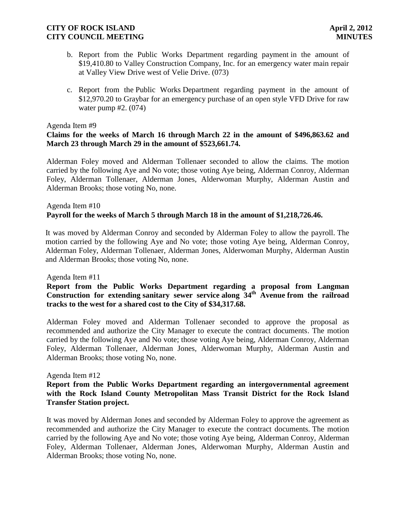- b. Report from the Public Works Department regarding payment in the amount of \$19,410.80 to Valley Construction Company, Inc. for an emergency water main repair at Valley View Drive west of Velie Drive. (073)
- c. Report from the Public Works Department regarding payment in the amount of \$12,970.20 to Graybar for an emergency purchase of an open style VFD Drive for raw water pump #2. (074)

### Agenda Item #9

## **Claims for the weeks of March 16 through March 22 in the amount of \$496,863.62 and March 23 through March 29 in the amount of \$523,661.74.**

Alderman Foley moved and Alderman Tollenaer seconded to allow the claims. The motion carried by the following Aye and No vote; those voting Aye being, Alderman Conroy, Alderman Foley, Alderman Tollenaer, Alderman Jones, Alderwoman Murphy, Alderman Austin and Alderman Brooks; those voting No, none.

## Agenda Item #10 **Payroll for the weeks of March 5 through March 18 in the amount of \$1,218,726.46.**

It was moved by Alderman Conroy and seconded by Alderman Foley to allow the payroll. The motion carried by the following Aye and No vote; those voting Aye being, Alderman Conroy, Alderman Foley, Alderman Tollenaer, Alderman Jones, Alderwoman Murphy, Alderman Austin and Alderman Brooks; those voting No, none.

### Agenda Item #11

# **Report from the Public Works Department regarding a proposal from Langman Construction for extending sanitary sewer service along 34th Avenue from the railroad tracks to the west for a shared cost to the City of \$34,317.68.**

Alderman Foley moved and Alderman Tollenaer seconded to approve the proposal as recommended and authorize the City Manager to execute the contract documents. The motion carried by the following Aye and No vote; those voting Aye being, Alderman Conroy, Alderman Foley, Alderman Tollenaer, Alderman Jones, Alderwoman Murphy, Alderman Austin and Alderman Brooks; those voting No, none.

### Agenda Item #12

## **Report from the Public Works Department regarding an intergovernmental agreement with the Rock Island County Metropolitan Mass Transit District for the Rock Island Transfer Station project.**

It was moved by Alderman Jones and seconded by Alderman Foley to approve the agreement as recommended and authorize the City Manager to execute the contract documents. The motion carried by the following Aye and No vote; those voting Aye being, Alderman Conroy, Alderman Foley, Alderman Tollenaer, Alderman Jones, Alderwoman Murphy, Alderman Austin and Alderman Brooks; those voting No, none.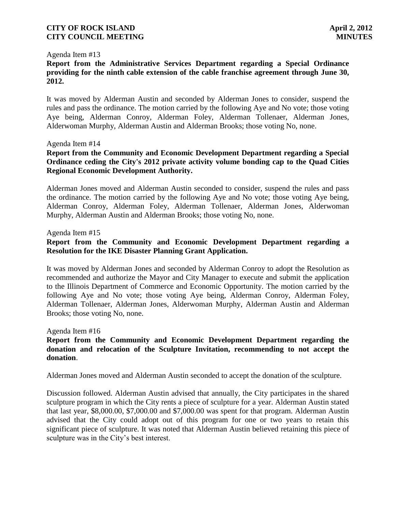### Agenda Item #13

**Report from the Administrative Services Department regarding a Special Ordinance providing for the ninth cable extension of the cable franchise agreement through June 30, 2012.**

It was moved by Alderman Austin and seconded by Alderman Jones to consider, suspend the rules and pass the ordinance. The motion carried by the following Aye and No vote; those voting Aye being, Alderman Conroy, Alderman Foley, Alderman Tollenaer, Alderman Jones, Alderwoman Murphy, Alderman Austin and Alderman Brooks; those voting No, none.

#### Agenda Item #14

## **Report from the Community and Economic Development Department regarding a Special Ordinance ceding the City's 2012 private activity volume bonding cap to the Quad Cities Regional Economic Development Authority.**

Alderman Jones moved and Alderman Austin seconded to consider, suspend the rules and pass the ordinance. The motion carried by the following Aye and No vote; those voting Aye being, Alderman Conroy, Alderman Foley, Alderman Tollenaer, Alderman Jones, Alderwoman Murphy, Alderman Austin and Alderman Brooks; those voting No, none.

#### Agenda Item #15

# **Report from the Community and Economic Development Department regarding a Resolution for the IKE Disaster Planning Grant Application.**

It was moved by Alderman Jones and seconded by Alderman Conroy to adopt the Resolution as recommended and authorize the Mayor and City Manager to execute and submit the application to the Illinois Department of Commerce and Economic Opportunity. The motion carried by the following Aye and No vote; those voting Aye being, Alderman Conroy, Alderman Foley, Alderman Tollenaer, Alderman Jones, Alderwoman Murphy, Alderman Austin and Alderman Brooks; those voting No, none.

Agenda Item #16

## **Report from the Community and Economic Development Department regarding the donation and relocation of the Sculpture Invitation, recommending to not accept the donation**.

Alderman Jones moved and Alderman Austin seconded to accept the donation of the sculpture.

Discussion followed. Alderman Austin advised that annually, the City participates in the shared sculpture program in which the City rents a piece of sculpture for a year. Alderman Austin stated that last year, \$8,000.00, \$7,000.00 and \$7,000.00 was spent for that program. Alderman Austin advised that the City could adopt out of this program for one or two years to retain this significant piece of sculpture. It was noted that Alderman Austin believed retaining this piece of sculpture was in the City's best interest.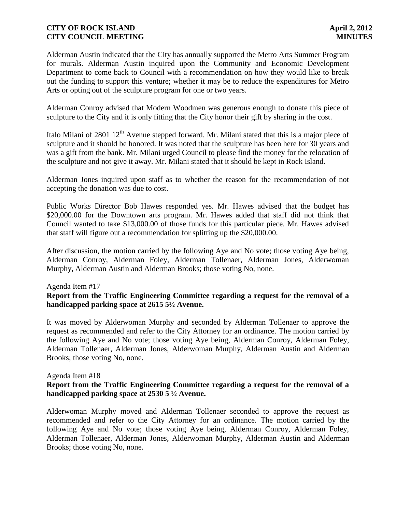Alderman Austin indicated that the City has annually supported the Metro Arts Summer Program for murals. Alderman Austin inquired upon the Community and Economic Development Department to come back to Council with a recommendation on how they would like to break out the funding to support this venture; whether it may be to reduce the expenditures for Metro Arts or opting out of the sculpture program for one or two years.

Alderman Conroy advised that Modern Woodmen was generous enough to donate this piece of sculpture to the City and it is only fitting that the City honor their gift by sharing in the cost.

Italo Milani of 2801 12<sup>th</sup> Avenue stepped forward. Mr. Milani stated that this is a major piece of sculpture and it should be honored. It was noted that the sculpture has been here for 30 years and was a gift from the bank. Mr. Milani urged Council to please find the money for the relocation of the sculpture and not give it away. Mr. Milani stated that it should be kept in Rock Island.

Alderman Jones inquired upon staff as to whether the reason for the recommendation of not accepting the donation was due to cost.

Public Works Director Bob Hawes responded yes. Mr. Hawes advised that the budget has \$20,000.00 for the Downtown arts program. Mr. Hawes added that staff did not think that Council wanted to take \$13,000.00 of those funds for this particular piece. Mr. Hawes advised that staff will figure out a recommendation for splitting up the \$20,000.00.

After discussion, the motion carried by the following Aye and No vote; those voting Aye being, Alderman Conroy, Alderman Foley, Alderman Tollenaer, Alderman Jones, Alderwoman Murphy, Alderman Austin and Alderman Brooks; those voting No, none.

### Agenda Item #17

## **Report from the Traffic Engineering Committee regarding a request for the removal of a handicapped parking space at 2615 5½ Avenue.**

It was moved by Alderwoman Murphy and seconded by Alderman Tollenaer to approve the request as recommended and refer to the City Attorney for an ordinance. The motion carried by the following Aye and No vote; those voting Aye being, Alderman Conroy, Alderman Foley, Alderman Tollenaer, Alderman Jones, Alderwoman Murphy, Alderman Austin and Alderman Brooks; those voting No, none.

### Agenda Item #18

### **Report from the Traffic Engineering Committee regarding a request for the removal of a handicapped parking space at 2530 5 ½ Avenue.**

Alderwoman Murphy moved and Alderman Tollenaer seconded to approve the request as recommended and refer to the City Attorney for an ordinance. The motion carried by the following Aye and No vote; those voting Aye being, Alderman Conroy, Alderman Foley, Alderman Tollenaer, Alderman Jones, Alderwoman Murphy, Alderman Austin and Alderman Brooks; those voting No, none.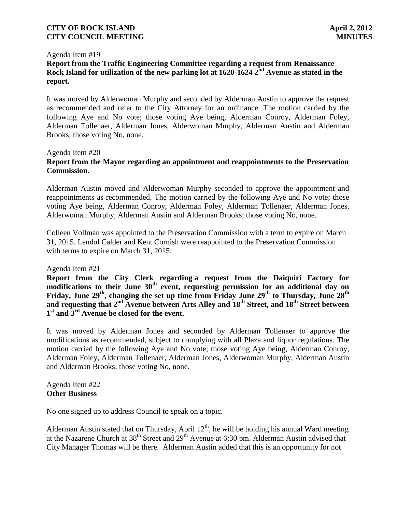#### Agenda Item #19

# **Report from the Traffic Engineering Committee regarding a request from Renaissance Rock Island for utilization of the new parking lot at 1620-1624 2 nd Avenue as stated in the report.**

It was moved by Alderwoman Murphy and seconded by Alderman Austin to approve the request as recommended and refer to the City Attorney for an ordinance. The motion carried by the following Aye and No vote; those voting Aye being, Alderman Conroy, Alderman Foley, Alderman Tollenaer, Alderman Jones, Alderwoman Murphy, Alderman Austin and Alderman Brooks; those voting No, none.

### Agenda Item #20

### **Report from the Mayor regarding an appointment and reappointments to the Preservation Commission.**

Alderman Austin moved and Alderwoman Murphy seconded to approve the appointment and reappointments as recommended. The motion carried by the following Aye and No vote; those voting Aye being, Alderman Conroy, Alderman Foley, Alderman Tollenaer, Alderman Jones, Alderwoman Murphy, Alderman Austin and Alderman Brooks; those voting No, none.

Colleen Vollman was appointed to the Preservation Commission with a term to expire on March 31, 2015. Lendol Calder and Kent Cornish were reappointed to the Preservation Commission with terms to expire on March 31, 2015.

### Agenda Item #21

**Report from the City Clerk regarding a request from the Daiquiri Factory for modifications to their June 30th event, requesting permission for an additional day on Friday, June 29th, changing the set up time from Friday June 29th to Thursday, June 28th and requesting that 2 nd Avenue between Arts Alley and 18th Street, and 18th Street between 1 st and 3rd Avenue be closed for the event.**

It was moved by Alderman Jones and seconded by Alderman Tollenaer to approve the modifications as recommended, subject to complying with all Plaza and liquor regulations. The motion carried by the following Aye and No vote; those voting Aye being, Alderman Conroy, Alderman Foley, Alderman Tollenaer, Alderman Jones, Alderwoman Murphy, Alderman Austin and Alderman Brooks; those voting No, none.

### Agenda Item #22 **Other Business**

No one signed up to address Council to speak on a topic.

Alderman Austin stated that on Thursday, April  $12<sup>th</sup>$ , he will be holding his annual Ward meeting at the Nazarene Church at  $38^{th}$  Street and  $29^{th}$  Avenue at 6:30 pm. Alderman Austin advised that City Manager Thomas will be there. Alderman Austin added that this is an opportunity for not